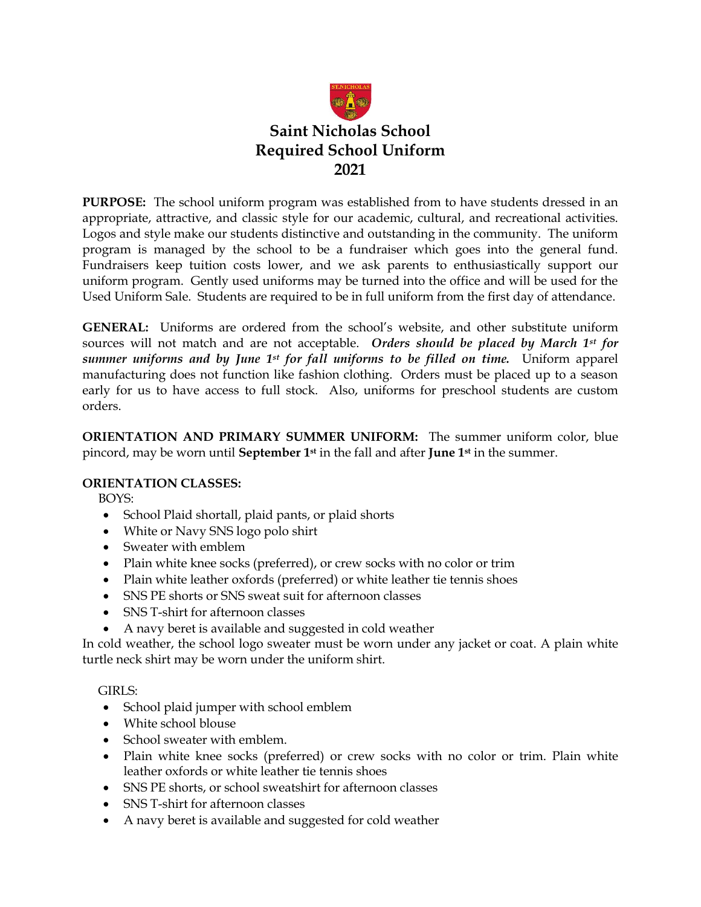

**PURPOSE:** The school uniform program was established from to have students dressed in an appropriate, attractive, and classic style for our academic, cultural, and recreational activities. Logos and style make our students distinctive and outstanding in the community. The uniform program is managed by the school to be a fundraiser which goes into the general fund. Fundraisers keep tuition costs lower, and we ask parents to enthusiastically support our uniform program. Gently used uniforms may be turned into the office and will be used for the Used Uniform Sale. Students are required to be in full uniform from the first day of attendance.

**GENERAL:** Uniforms are ordered from the school's website, and other substitute uniform sources will not match and are not acceptable. *Orders should be placed by March 1st for summer uniforms and by June 1 st for fall uniforms to be filled on time.* Uniform apparel manufacturing does not function like fashion clothing. Orders must be placed up to a season early for us to have access to full stock. Also, uniforms for preschool students are custom orders.

**ORIENTATION AND PRIMARY SUMMER UNIFORM:** The summer uniform color, blue pincord, may be worn until **September 1st** in the fall and after **June 1st** in the summer.

### **ORIENTATION CLASSES:**

BOYS:

- School Plaid shortall, plaid pants, or plaid shorts
- White or Navy SNS logo polo shirt
- Sweater with emblem
- Plain white knee socks (preferred), or crew socks with no color or trim
- Plain white leather oxfords (preferred) or white leather tie tennis shoes
- SNS PE shorts or SNS sweat suit for afternoon classes
- SNS T-shirt for afternoon classes
- A navy beret is available and suggested in cold weather

In cold weather, the school logo sweater must be worn under any jacket or coat. A plain white turtle neck shirt may be worn under the uniform shirt.

GIRLS:

- School plaid jumper with school emblem
- White school blouse
- School sweater with emblem.
- Plain white knee socks (preferred) or crew socks with no color or trim. Plain white leather oxfords or white leather tie tennis shoes
- SNS PE shorts, or school sweatshirt for afternoon classes
- SNS T-shirt for afternoon classes
- A navy beret is available and suggested for cold weather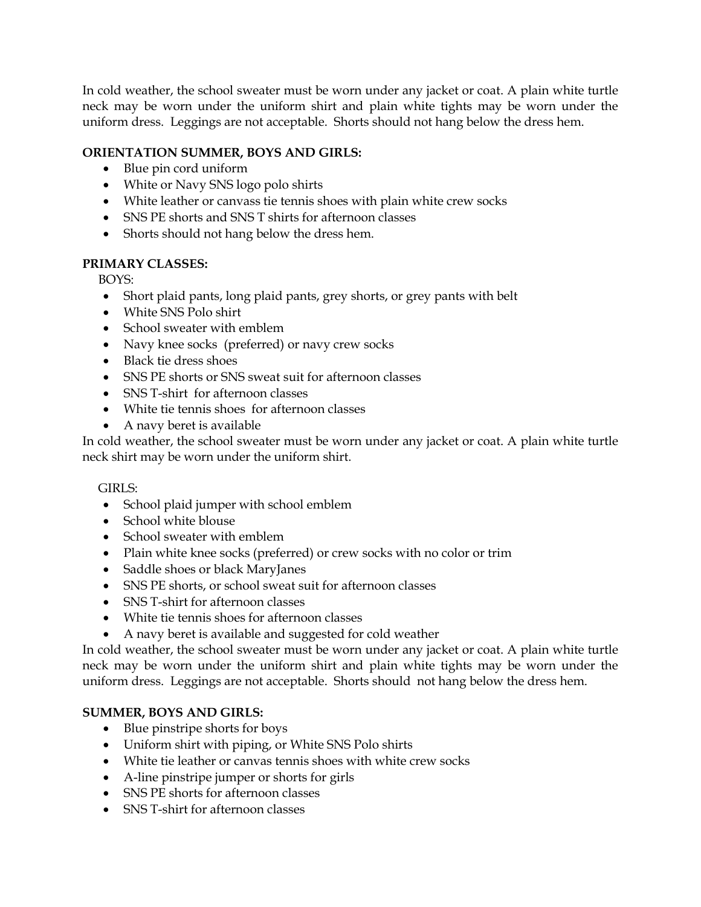In cold weather, the school sweater must be worn under any jacket or coat. A plain white turtle neck may be worn under the uniform shirt and plain white tights may be worn under the uniform dress. Leggings are not acceptable. Shorts should not hang below the dress hem.

# **ORIENTATION SUMMER, BOYS AND GIRLS:**

- Blue pin cord uniform
- White or Navy SNS logo polo shirts
- White leather or canvass tie tennis shoes with plain white crew socks
- SNS PE shorts and SNS T shirts for afternoon classes
- Shorts should not hang below the dress hem.

# **PRIMARY CLASSES:**

BOYS:

- Short plaid pants, long plaid pants, grey shorts, or grey pants with belt
- White SNS Polo shirt
- School sweater with emblem
- Navy knee socks (preferred) or navy crew socks
- Black tie dress shoes
- SNS PE shorts or SNS sweat suit for afternoon classes
- SNS T-shirt for afternoon classes
- White tie tennis shoes for afternoon classes
- A navy beret is available

In cold weather, the school sweater must be worn under any jacket or coat. A plain white turtle neck shirt may be worn under the uniform shirt.

### GIRLS:

- School plaid jumper with school emblem
- School white blouse
- School sweater with emblem
- Plain white knee socks (preferred) or crew socks with no color or trim
- Saddle shoes or black MaryJanes
- SNS PE shorts, or school sweat suit for afternoon classes
- SNS T-shirt for afternoon classes
- White tie tennis shoes for afternoon classes
- A navy beret is available and suggested for cold weather

In cold weather, the school sweater must be worn under any jacket or coat. A plain white turtle neck may be worn under the uniform shirt and plain white tights may be worn under the uniform dress. Leggings are not acceptable. Shorts should not hang below the dress hem.

# **SUMMER, BOYS AND GIRLS:**

- Blue pinstripe shorts for boys
- Uniform shirt with piping, or White SNS Polo shirts
- White tie leather or canvas tennis shoes with white crew socks
- A-line pinstripe jumper or shorts for girls
- SNS PE shorts for afternoon classes
- SNS T-shirt for afternoon classes